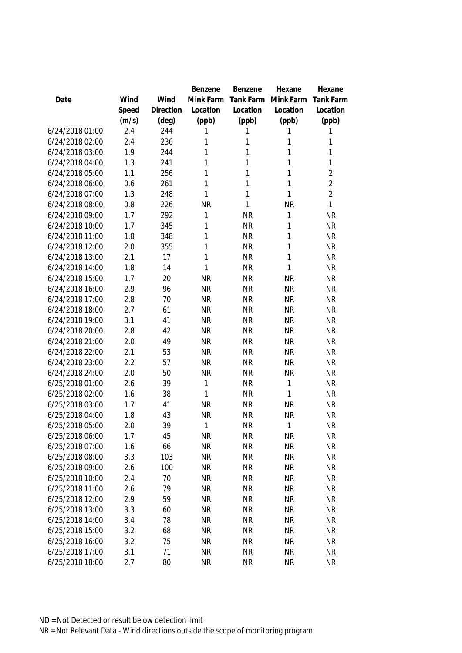|                 |       |           | Benzene   | Benzene      | Hexane       | Hexane           |
|-----------------|-------|-----------|-----------|--------------|--------------|------------------|
| Date            | Wind  | Wind      | Mink Farm | Tank Farm    | Mink Farm    | <b>Tank Farm</b> |
|                 | Speed | Direction | Location  | Location     | Location     | Location         |
|                 | (m/s) | (deg)     | (ppb)     | (ppb)        | (ppb)        | (ppb)            |
| 6/24/2018 01:00 | 2.4   | 244       | 1         | 1            | 1            | 1                |
| 6/24/2018 02:00 | 2.4   | 236       | 1         | 1            | 1            | 1                |
| 6/24/2018 03:00 | 1.9   | 244       | 1         | $\mathbf{1}$ | 1            | 1                |
| 6/24/2018 04:00 | 1.3   | 241       | 1         | 1            | 1            | $\mathbf{1}$     |
| 6/24/2018 05:00 | 1.1   | 256       | 1         | $\mathbf{1}$ | 1            | $\overline{2}$   |
| 6/24/2018 06:00 | 0.6   | 261       | 1         | $\mathbf{1}$ | 1            | $\overline{2}$   |
| 6/24/2018 07:00 | 1.3   | 248       | 1         | $\mathbf{1}$ | $\mathbf{1}$ | $\overline{2}$   |
| 6/24/2018 08:00 | 0.8   | 226       | <b>NR</b> | 1            | <b>NR</b>    | 1                |
| 6/24/2018 09:00 | 1.7   | 292       | 1         | <b>NR</b>    | 1            | <b>NR</b>        |
| 6/24/2018 10:00 | 1.7   | 345       | 1         | <b>NR</b>    | 1            | <b>NR</b>        |
| 6/24/2018 11:00 | 1.8   | 348       | 1         | <b>NR</b>    | 1            | <b>NR</b>        |
| 6/24/2018 12:00 | 2.0   | 355       | 1         | <b>NR</b>    | 1            | <b>NR</b>        |
| 6/24/2018 13:00 | 2.1   | 17        | 1         | <b>NR</b>    | 1            | <b>NR</b>        |
| 6/24/2018 14:00 | 1.8   | 14        | 1         | <b>NR</b>    | 1            | <b>NR</b>        |
| 6/24/2018 15:00 | 1.7   | 20        | <b>NR</b> | <b>NR</b>    | <b>NR</b>    | <b>NR</b>        |
| 6/24/2018 16:00 | 2.9   | 96        | <b>NR</b> | <b>NR</b>    | <b>NR</b>    | <b>NR</b>        |
| 6/24/2018 17:00 | 2.8   | 70        | <b>NR</b> | <b>NR</b>    | <b>NR</b>    | <b>NR</b>        |
| 6/24/2018 18:00 | 2.7   | 61        | <b>NR</b> | <b>NR</b>    | <b>NR</b>    | <b>NR</b>        |
| 6/24/2018 19:00 | 3.1   | 41        | <b>NR</b> | <b>NR</b>    | <b>NR</b>    | <b>NR</b>        |
| 6/24/2018 20:00 | 2.8   | 42        | <b>NR</b> | <b>NR</b>    | <b>NR</b>    | <b>NR</b>        |
| 6/24/2018 21:00 | 2.0   | 49        | <b>NR</b> | <b>NR</b>    | <b>NR</b>    | <b>NR</b>        |
| 6/24/2018 22:00 | 2.1   | 53        | <b>NR</b> | <b>NR</b>    | <b>NR</b>    | <b>NR</b>        |
| 6/24/2018 23:00 | 2.2   | 57        | <b>NR</b> | <b>NR</b>    | <b>NR</b>    | <b>NR</b>        |
| 6/24/2018 24:00 | 2.0   | 50        | <b>NR</b> | <b>NR</b>    | <b>NR</b>    | <b>NR</b>        |
| 6/25/2018 01:00 | 2.6   | 39        | 1         | <b>NR</b>    | $\mathbf{1}$ | <b>NR</b>        |
| 6/25/2018 02:00 | 1.6   | 38        | 1         | <b>NR</b>    | 1            | <b>NR</b>        |
| 6/25/2018 03:00 | 1.7   | 41        | <b>NR</b> | <b>NR</b>    | <b>NR</b>    | <b>NR</b>        |
| 6/25/2018 04:00 | 1.8   | 43        | <b>NR</b> | <b>NR</b>    | <b>NR</b>    | <b>NR</b>        |
| 6/25/2018 05:00 | 2.0   | 39        | 1         | <b>NR</b>    | 1            | <b>NR</b>        |
| 6/25/2018 06:00 | 1.7   | 45        | <b>NR</b> | <b>NR</b>    | <b>NR</b>    | NR               |
| 6/25/2018 07:00 | 1.6   | 66        | <b>NR</b> | <b>NR</b>    | <b>NR</b>    | <b>NR</b>        |
| 6/25/2018 08:00 | 3.3   | 103       | <b>NR</b> | <b>NR</b>    | <b>NR</b>    | <b>NR</b>        |
| 6/25/2018 09:00 | 2.6   | 100       | <b>NR</b> | <b>NR</b>    | <b>NR</b>    | <b>NR</b>        |
| 6/25/2018 10:00 | 2.4   | 70        | <b>NR</b> | <b>NR</b>    | <b>NR</b>    | NR               |
| 6/25/2018 11:00 | 2.6   | 79        | <b>NR</b> | <b>NR</b>    | <b>NR</b>    | <b>NR</b>        |
| 6/25/2018 12:00 | 2.9   | 59        | <b>NR</b> | <b>NR</b>    | <b>NR</b>    | <b>NR</b>        |
| 6/25/2018 13:00 | 3.3   | 60        | <b>NR</b> | <b>NR</b>    | <b>NR</b>    | <b>NR</b>        |
| 6/25/2018 14:00 | 3.4   | 78        | <b>NR</b> | <b>NR</b>    | <b>NR</b>    | NR               |
| 6/25/2018 15:00 | 3.2   | 68        | <b>NR</b> | <b>NR</b>    | <b>NR</b>    | <b>NR</b>        |
| 6/25/2018 16:00 | 3.2   | 75        | <b>NR</b> | <b>NR</b>    | <b>NR</b>    | <b>NR</b>        |
| 6/25/2018 17:00 | 3.1   | 71        | <b>NR</b> | <b>NR</b>    | <b>NR</b>    | <b>NR</b>        |
| 6/25/2018 18:00 | 2.7   | 80        | <b>NR</b> | <b>NR</b>    | <b>NR</b>    | <b>NR</b>        |
|                 |       |           |           |              |              |                  |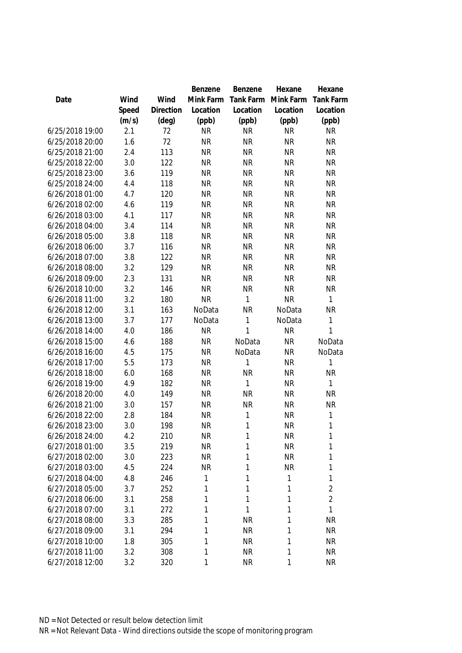|                 |       |                | Benzene   | Benzene   | Hexane    | Hexane           |
|-----------------|-------|----------------|-----------|-----------|-----------|------------------|
| Date            | Wind  | Wind           | Mink Farm | Tank Farm | Mink Farm | <b>Tank Farm</b> |
|                 | Speed | Direction      | Location  | Location  | Location  | Location         |
|                 | (m/s) | $(\text{deg})$ | (ppb)     | (ppb)     | (ppb)     | (ppb)            |
| 6/25/2018 19:00 | 2.1   | 72             | <b>NR</b> | <b>NR</b> | <b>NR</b> | <b>NR</b>        |
| 6/25/2018 20:00 | 1.6   | 72             | <b>NR</b> | <b>NR</b> | <b>NR</b> | <b>NR</b>        |
| 6/25/2018 21:00 | 2.4   | 113            | <b>NR</b> | <b>NR</b> | <b>NR</b> | <b>NR</b>        |
| 6/25/2018 22:00 | 3.0   | 122            | <b>NR</b> | <b>NR</b> | <b>NR</b> | <b>NR</b>        |
| 6/25/2018 23:00 | 3.6   | 119            | <b>NR</b> | <b>NR</b> | <b>NR</b> | <b>NR</b>        |
| 6/25/2018 24:00 | 4.4   | 118            | <b>NR</b> | <b>NR</b> | <b>NR</b> | <b>NR</b>        |
| 6/26/2018 01:00 | 4.7   | 120            | <b>NR</b> | <b>NR</b> | <b>NR</b> | <b>NR</b>        |
| 6/26/2018 02:00 | 4.6   | 119            | <b>NR</b> | <b>NR</b> | <b>NR</b> | <b>NR</b>        |
| 6/26/2018 03:00 | 4.1   | 117            | <b>NR</b> | <b>NR</b> | <b>NR</b> | <b>NR</b>        |
| 6/26/2018 04:00 | 3.4   | 114            | <b>NR</b> | <b>NR</b> | <b>NR</b> | <b>NR</b>        |
| 6/26/2018 05:00 | 3.8   | 118            | <b>NR</b> | <b>NR</b> | <b>NR</b> | <b>NR</b>        |
| 6/26/2018 06:00 | 3.7   | 116            | <b>NR</b> | <b>NR</b> | <b>NR</b> | <b>NR</b>        |
| 6/26/2018 07:00 | 3.8   | 122            | <b>NR</b> | <b>NR</b> | <b>NR</b> | <b>NR</b>        |
| 6/26/2018 08:00 | 3.2   | 129            | <b>NR</b> | <b>NR</b> | <b>NR</b> | <b>NR</b>        |
| 6/26/2018 09:00 | 2.3   | 131            | <b>NR</b> | <b>NR</b> | <b>NR</b> | <b>NR</b>        |
| 6/26/2018 10:00 | 3.2   | 146            | <b>NR</b> | <b>NR</b> | <b>NR</b> | <b>NR</b>        |
| 6/26/2018 11:00 | 3.2   | 180            | <b>NR</b> | 1         | <b>NR</b> | 1                |
| 6/26/2018 12:00 | 3.1   | 163            | NoData    | <b>NR</b> | NoData    | <b>NR</b>        |
| 6/26/2018 13:00 | 3.7   | 177            | NoData    | 1         | NoData    | 1                |
| 6/26/2018 14:00 | 4.0   | 186            | <b>NR</b> | 1         | <b>NR</b> | 1                |
| 6/26/2018 15:00 | 4.6   | 188            | <b>NR</b> | NoData    | <b>NR</b> | NoData           |
| 6/26/2018 16:00 | 4.5   | 175            | <b>NR</b> | NoData    | <b>NR</b> | NoData           |
| 6/26/2018 17:00 | 5.5   | 173            | <b>NR</b> | 1         | <b>NR</b> | $\mathbf{1}$     |
| 6/26/2018 18:00 | 6.0   | 168            | <b>NR</b> | <b>NR</b> | <b>NR</b> | <b>NR</b>        |
| 6/26/2018 19:00 | 4.9   | 182            | <b>NR</b> | 1         | <b>NR</b> | 1                |
| 6/26/2018 20:00 | 4.0   | 149            | <b>NR</b> | <b>NR</b> | <b>NR</b> | <b>NR</b>        |
| 6/26/2018 21:00 | 3.0   | 157            | <b>NR</b> | <b>NR</b> | <b>NR</b> | <b>NR</b>        |
| 6/26/2018 22:00 | 2.8   | 184            | <b>NR</b> | 1         | <b>NR</b> | $\mathbf 1$      |
| 6/26/2018 23:00 | 3.0   | 198            | <b>NR</b> | 1         | <b>NR</b> | 1                |
| 6/26/2018 24:00 | 4.2   | 210            | <b>NR</b> | 1         | <b>NR</b> | $\mathbf{1}$     |
| 6/27/2018 01:00 | 3.5   | 219            | <b>NR</b> | 1         | <b>NR</b> | 1                |
| 6/27/2018 02:00 | 3.0   | 223            | <b>NR</b> | 1         | <b>NR</b> | 1                |
| 6/27/2018 03:00 | 4.5   | 224            | <b>NR</b> | 1         | <b>NR</b> | 1                |
| 6/27/2018 04:00 | 4.8   | 246            | 1         | 1         | 1         | 1                |
| 6/27/2018 05:00 | 3.7   | 252            | 1         | 1         | 1         | $\overline{2}$   |
| 6/27/2018 06:00 | 3.1   | 258            | 1         | 1         | 1         | $\overline{2}$   |
| 6/27/2018 07:00 | 3.1   | 272            | 1         | 1         | 1         | 1                |
| 6/27/2018 08:00 | 3.3   | 285            | 1         | <b>NR</b> | 1         | <b>NR</b>        |
| 6/27/2018 09:00 | 3.1   | 294            | 1         | <b>NR</b> | 1         | <b>NR</b>        |
| 6/27/2018 10:00 | 1.8   | 305            | 1         | <b>NR</b> | 1         | <b>NR</b>        |
| 6/27/2018 11:00 | 3.2   | 308            | 1         | <b>NR</b> | 1         | <b>NR</b>        |
| 6/27/2018 12:00 | 3.2   | 320            | 1         | <b>NR</b> | 1         | <b>NR</b>        |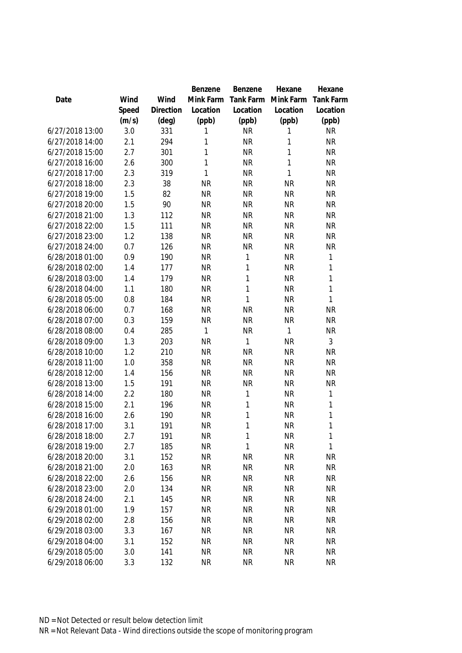|                 |       |                | Benzene      | Benzene   | Hexane       | Hexane           |
|-----------------|-------|----------------|--------------|-----------|--------------|------------------|
| Date            | Wind  | Wind           | Mink Farm    | Tank Farm | Mink Farm    | <b>Tank Farm</b> |
|                 | Speed | Direction      | Location     | Location  | Location     | Location         |
|                 | (m/s) | $(\text{deg})$ | (ppb)        | (ppb)     | (ppb)        | (ppb)            |
| 6/27/2018 13:00 | 3.0   | 331            | 1            | <b>NR</b> | 1            | <b>NR</b>        |
| 6/27/2018 14:00 | 2.1   | 294            | 1            | <b>NR</b> | 1            | <b>NR</b>        |
| 6/27/2018 15:00 | 2.7   | 301            | 1            | <b>NR</b> | 1            | <b>NR</b>        |
| 6/27/2018 16:00 | 2.6   | 300            | 1            | <b>NR</b> | $\mathbf{1}$ | <b>NR</b>        |
| 6/27/2018 17:00 | 2.3   | 319            | $\mathbf{1}$ | <b>NR</b> | $\mathbf{1}$ | <b>NR</b>        |
| 6/27/2018 18:00 | 2.3   | 38             | <b>NR</b>    | <b>NR</b> | <b>NR</b>    | <b>NR</b>        |
| 6/27/2018 19:00 | 1.5   | 82             | <b>NR</b>    | <b>NR</b> | <b>NR</b>    | <b>NR</b>        |
| 6/27/2018 20:00 | 1.5   | 90             | <b>NR</b>    | <b>NR</b> | <b>NR</b>    | <b>NR</b>        |
| 6/27/2018 21:00 | 1.3   | 112            | <b>NR</b>    | <b>NR</b> | <b>NR</b>    | <b>NR</b>        |
| 6/27/2018 22:00 | 1.5   | 111            | <b>NR</b>    | <b>NR</b> | <b>NR</b>    | <b>NR</b>        |
| 6/27/2018 23:00 | 1.2   | 138            | <b>NR</b>    | <b>NR</b> | <b>NR</b>    | <b>NR</b>        |
| 6/27/2018 24:00 | 0.7   | 126            | <b>NR</b>    | <b>NR</b> | <b>NR</b>    | <b>NR</b>        |
| 6/28/2018 01:00 | 0.9   | 190            | <b>NR</b>    | 1         | <b>NR</b>    | 1                |
| 6/28/2018 02:00 | 1.4   | 177            | <b>NR</b>    | 1         | <b>NR</b>    | 1                |
| 6/28/2018 03:00 | 1.4   | 179            | <b>NR</b>    | 1         | <b>NR</b>    | 1                |
| 6/28/2018 04:00 | 1.1   | 180            | <b>NR</b>    | 1         | <b>NR</b>    | $\mathbf{1}$     |
| 6/28/2018 05:00 | 0.8   | 184            | <b>NR</b>    | 1         | <b>NR</b>    | 1                |
| 6/28/2018 06:00 | 0.7   | 168            | <b>NR</b>    | <b>NR</b> | <b>NR</b>    | <b>NR</b>        |
| 6/28/2018 07:00 | 0.3   | 159            | <b>NR</b>    | <b>NR</b> | <b>NR</b>    | <b>NR</b>        |
| 6/28/2018 08:00 | 0.4   | 285            | $\mathbf{1}$ | <b>NR</b> | $\mathbf{1}$ | <b>NR</b>        |
| 6/28/2018 09:00 | 1.3   | 203            | <b>NR</b>    | 1         | <b>NR</b>    | 3                |
| 6/28/2018 10:00 | 1.2   | 210            | <b>NR</b>    | <b>NR</b> | <b>NR</b>    | <b>NR</b>        |
| 6/28/2018 11:00 | 1.0   | 358            | <b>NR</b>    | <b>NR</b> | <b>NR</b>    | <b>NR</b>        |
| 6/28/2018 12:00 | 1.4   | 156            | <b>NR</b>    | <b>NR</b> | <b>NR</b>    | <b>NR</b>        |
| 6/28/2018 13:00 | 1.5   | 191            | <b>NR</b>    | <b>NR</b> | <b>NR</b>    | <b>NR</b>        |
| 6/28/2018 14:00 | 2.2   | 180            | <b>NR</b>    | 1         | <b>NR</b>    | 1                |
| 6/28/2018 15:00 | 2.1   | 196            | <b>NR</b>    | 1         | <b>NR</b>    | $\mathbf{1}$     |
| 6/28/2018 16:00 | 2.6   | 190            | <b>NR</b>    | 1         | <b>NR</b>    | 1                |
| 6/28/2018 17:00 | 3.1   | 191            | <b>NR</b>    | 1         | <b>NR</b>    | 1                |
| 6/28/2018 18:00 | 2.7   | 191            | <b>NR</b>    | 1         | <b>NR</b>    | $\mathbf{1}$     |
| 6/28/2018 19:00 | 2.7   | 185            | <b>NR</b>    | 1         | <b>NR</b>    | 1                |
| 6/28/2018 20:00 | 3.1   | 152            | <b>NR</b>    | <b>NR</b> | <b>NR</b>    | <b>NR</b>        |
| 6/28/2018 21:00 | 2.0   | 163            | <b>NR</b>    | <b>NR</b> | <b>NR</b>    | <b>NR</b>        |
| 6/28/2018 22:00 | 2.6   | 156            | <b>NR</b>    | <b>NR</b> | <b>NR</b>    | NR               |
| 6/28/2018 23:00 | 2.0   | 134            | <b>NR</b>    | <b>NR</b> | <b>NR</b>    | <b>NR</b>        |
| 6/28/2018 24:00 | 2.1   | 145            | <b>NR</b>    | <b>NR</b> | <b>NR</b>    | <b>NR</b>        |
| 6/29/2018 01:00 | 1.9   | 157            | <b>NR</b>    | <b>NR</b> | <b>NR</b>    | <b>NR</b>        |
| 6/29/2018 02:00 | 2.8   | 156            | <b>NR</b>    | <b>NR</b> | <b>NR</b>    | NR               |
| 6/29/2018 03:00 | 3.3   | 167            | <b>NR</b>    | <b>NR</b> | <b>NR</b>    | <b>NR</b>        |
| 6/29/2018 04:00 | 3.1   | 152            | <b>NR</b>    | <b>NR</b> | <b>NR</b>    | <b>NR</b>        |
| 6/29/2018 05:00 | 3.0   | 141            | <b>NR</b>    | <b>NR</b> | <b>NR</b>    | <b>NR</b>        |
| 6/29/2018 06:00 | 3.3   | 132            | <b>NR</b>    | <b>NR</b> | <b>NR</b>    | <b>NR</b>        |